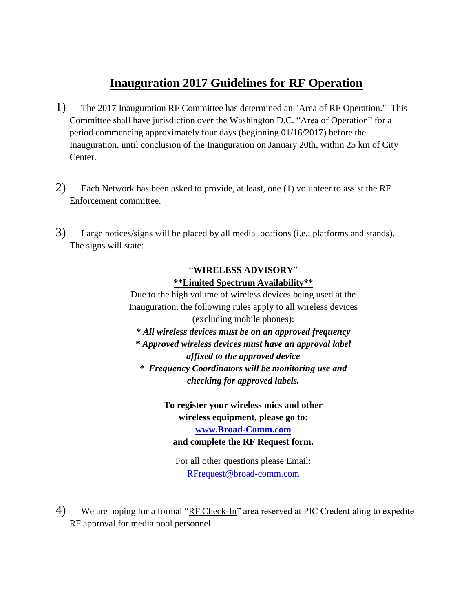## **Inauguration 2017 Guidelines for RF Operation**

- 1) The 2017 Inauguration RF Committee has determined an "Area of RF Operation." This Committee shall have jurisdiction over the Washington D.C. "Area of Operation" for a period commencing approximately four days (beginning 01/16/2017) before the Inauguration, until conclusion of the Inauguration on January 20th, within 25 km of City Center.
- 2) Each Network has been asked to provide, at least, one (1) volunteer to assist the RF Enforcement committee.
- 3) Large notices/signs will be placed by all media locations (i.e.: platforms and stands). The signs will state:

## "**WIRELESS ADVISORY**" **\*\*Limited Spectrum Availability\*\***

Due to the high volume of wireless devices being used at the Inauguration, the following rules apply to all wireless devices (excluding mobile phones):

*\* All wireless devices must be on an approved frequency*

*\* Approved wireless devices must have an approval label* 

*affixed to the approved device \* Frequency Coordinators will be monitoring use and checking for approved labels.*

> **To register your wireless mics and other wireless equipment, please go to: [www.Broad-Comm.com](http://www.broad-comm.com/) and complete the RF Request form.**

For all other questions please Email: [RFrequest@broad-comm.com](mailto:RFrequest@broad-comm.com)

4) We are hoping for a formal "RF Check-In" area reserved at PIC Credentialing to expedite RF approval for media pool personnel.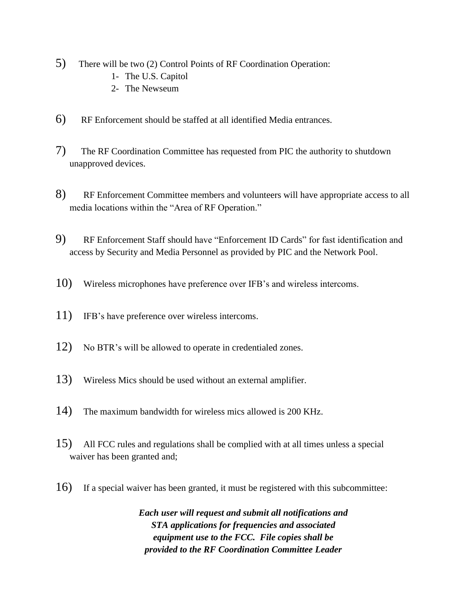- 5) There will be two (2) Control Points of RF Coordination Operation:
	- 1- The U.S. Capitol
	- 2- The Newseum
- 6) RF Enforcement should be staffed at all identified Media entrances.
- 7) The RF Coordination Committee has requested from PIC the authority to shutdown unapproved devices.
- 8) RF Enforcement Committee members and volunteers will have appropriate access to all media locations within the "Area of RF Operation."
- 9) RF Enforcement Staff should have "Enforcement ID Cards" for fast identification and access by Security and Media Personnel as provided by PIC and the Network Pool.
- 10) Wireless microphones have preference over IFB's and wireless intercoms.
- 11) IFB's have preference over wireless intercoms.
- 12) No BTR's will be allowed to operate in credentialed zones.
- 13) Wireless Mics should be used without an external amplifier.
- 14) The maximum bandwidth for wireless mics allowed is 200 KHz.
- 15) All FCC rules and regulations shall be complied with at all times unless a special waiver has been granted and;
- 16) If a special waiver has been granted, it must be registered with this subcommittee:

*Each user will request and submit all notifications and STA applications for frequencies and associated equipment use to the FCC. File copies shall be provided to the RF Coordination Committee Leader*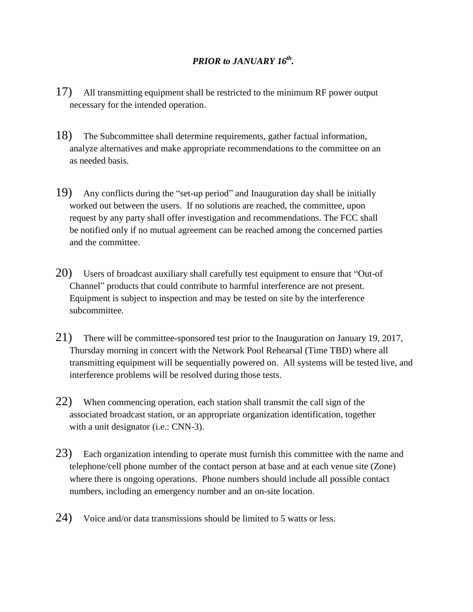## *PRIOR to JANUARY 16th .*

- 17) All transmitting equipment shall be restricted to the minimum RF power output necessary for the intended operation.
- 18) The Subcommittee shall determine requirements, gather factual information, analyze alternatives and make appropriate recommendations to the committee on an as needed basis.
- 19) Any conflicts during the "set-up period" and Inauguration day shall be initially worked out between the users. If no solutions are reached, the committee, upon request by any party shall offer investigation and recommendations. The FCC shall be notified only if no mutual agreement can be reached among the concerned parties and the committee.
- 20) Users of broadcast auxiliary shall carefully test equipment to ensure that "Out-of Channel" products that could contribute to harmful interference are not present. Equipment is subject to inspection and may be tested on site by the interference subcommittee.
- 21) There will be committee-sponsored test prior to the Inauguration on January 19, 2017, Thursday morning in concert with the Network Pool Rehearsal (Time TBD) where all transmitting equipment will be sequentially powered on. All systems will be tested live, and interference problems will be resolved during those tests.
- 22) When commencing operation, each station shall transmit the call sign of the associated broadcast station, or an appropriate organization identification, together with a unit designator (i.e.: CNN-3).
- 23) Each organization intending to operate must furnish this committee with the name and telephone/cell phone number of the contact person at base and at each venue site (Zone) where there is ongoing operations. Phone numbers should include all possible contact numbers, including an emergency number and an on-site location.
- 24) Voice and/or data transmissions should be limited to 5 watts or less.